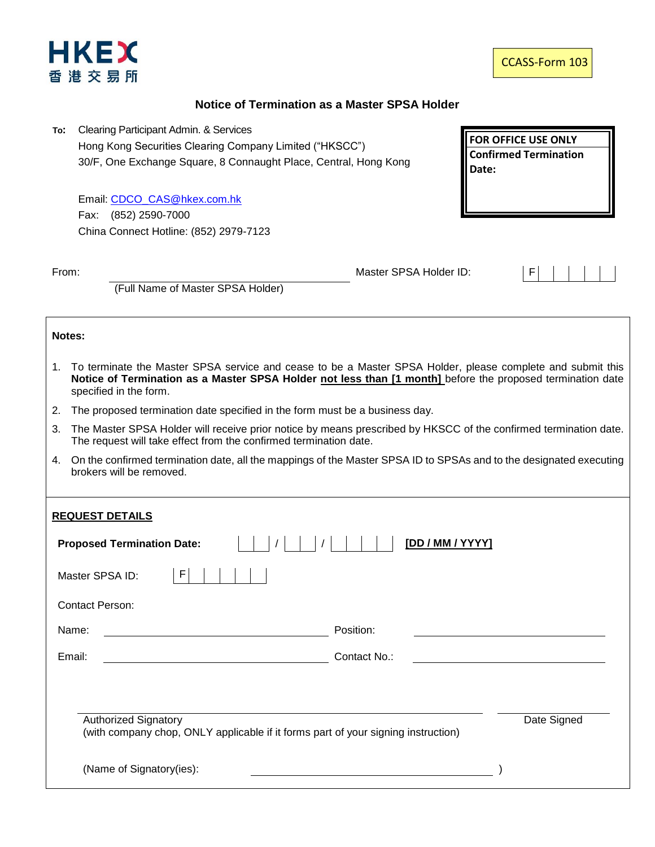

**FOR OFFICE USE ONLY Confirmed Termination** 

**Date:**

## **Notice of Termination as a Master SPSA Holder**

**To:** Clearing Participant Admin. & Services Hong Kong Securities Clearing Company Limited ("HKSCC") 30/F, One Exchange Square, 8 Connaught Place, Central, Hong Kong

Email: [CDCO\\_CAS@hkex.com.hk](mailto:CDCO_CAS@hkex.com.hk) Fax: (852) 2590-7000 China Connect Hotline: (852) 2979-7123

From: Master SPSA Holder ID: F



(Full Name of Master SPSA Holder)

## **Notes:**

- 1. To terminate the Master SPSA service and cease to be a Master SPSA Holder, please complete and submit this **Notice of Termination as a Master SPSA Holder not less than [1 month]** before the proposed termination date specified in the form.
- 2. The proposed termination date specified in the form must be a business day.
- 3. The Master SPSA Holder will receive prior notice by means prescribed by HKSCC of the confirmed termination date. The request will take effect from the confirmed termination date.
- 4. On the confirmed termination date, all the mappings of the Master SPSA ID to SPSAs and to the designated executing brokers will be removed.

## **REQUEST DETAILS**

| <u>REQUEST DE FAILS</u>                                                                                          |              |             |  |  |  |
|------------------------------------------------------------------------------------------------------------------|--------------|-------------|--|--|--|
| [DD / MM / YYYY]<br><b>Proposed Termination Date:</b>                                                            |              |             |  |  |  |
| F<br>Master SPSA ID:                                                                                             |              |             |  |  |  |
| <b>Contact Person:</b>                                                                                           |              |             |  |  |  |
| Name:                                                                                                            | Position:    |             |  |  |  |
| Email:                                                                                                           | Contact No.: |             |  |  |  |
|                                                                                                                  |              |             |  |  |  |
| <b>Authorized Signatory</b><br>(with company chop, ONLY applicable if it forms part of your signing instruction) |              | Date Signed |  |  |  |
| (Name of Signatory(ies):                                                                                         |              |             |  |  |  |